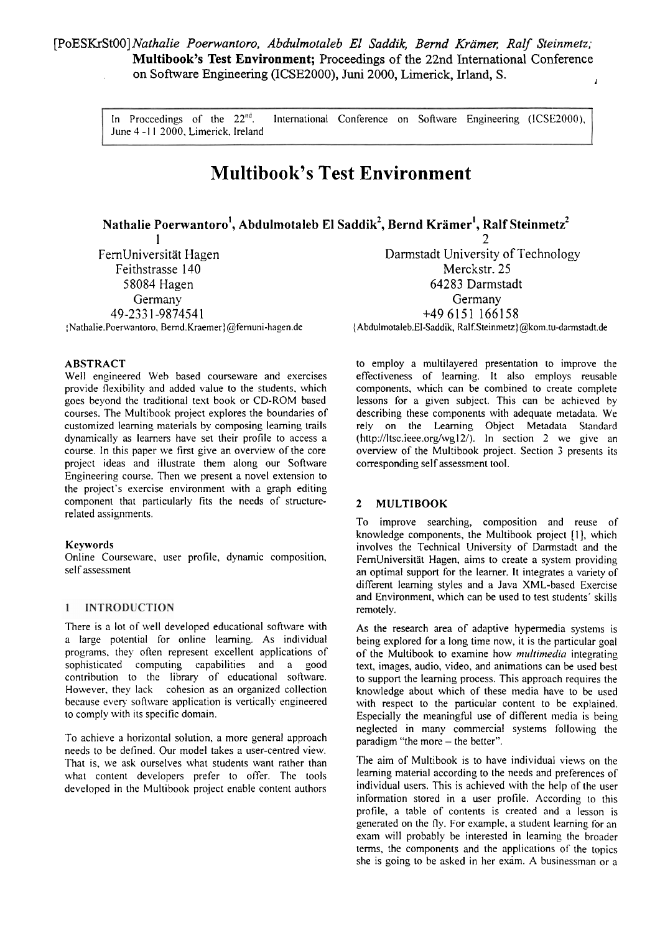# [PoESKrSt00] Nathalie Poerwantoro, Abdulmotaleb El Saddik, Bernd Krämer, Ralf Steinmetz; **Multibook's Test Environment;** Proceedings of the 22nd International Conference on Software Engineering (ICSE2000), Juni 2000, Limerick, Irland, S. **<sup>I</sup>**

In Proccedings of the 22<sup>nd</sup>. International Conference on Software Engineering (ICSE2000). June 4 - 11 2000, Limerick, Ireland

# **Multibook's Test Environment**

Nathalie Poerwantoro<sup>1</sup>, Abdulmotaleb El Saddik<sup>2</sup>, Bernd Krämer<sup>1</sup>, Ralf Steinmetz<sup>2</sup>

Feithstrasse 140 58084 Hagen 64283 Darmstadt Germany Germany 49-2331-9874541<br>{Nathalie.Poerwantoro, Bernd.Kraemer}@fernuni-hagen.de {Abdulmotaleb.El-Saddik, Ralf.Steinmetz}}

## **ABSTRACT**

Well engineered Web based courseware and exercises provide flexibility and added value to the students, which goes beyond the traditional text book or CD-ROM based courses. The Multibook project explores the boundaries of customized learning materials by composing leaming trails dynamically as learners have set their profile to access a course. In this paper we first give an overview of the core project ideas and illustrate them along our Software Engineering course. Then we present a novel extension to the project's esercise environment with a graph editing component that particularly fits the needs of structurerelated assignments.

### **Keywords**

Online Courseware, user profile, dynamic composition, self assessinent

#### $\mathbf{1}$ **INTRODUCTION**

There is a lot of well developed educational software with a large potential for online learning. As individual programs, they often represent excellent applications of sophisticated computing capabilities and a good contribution to the library of educational sofiware. However. they lack cohesion as an organized collection because every software application is vertically engineered to comply with its specific domain.

To achieve a horizontal solution, a more general approach needs to be delined. Our model takes a user-centred view. That is, we ask ourselves what students want rather than what content developers prefer to offer. The tools developed in the Multibook project enable content authors

 $1$  2 FernUniversität Hagen Darmstadt University of Technology<br>Feithstrasse 140 Merckstr. 25 :Nathalie.Poewantoro. **Bernd.Kraerner)@fernuni-hagen.de {Abdulmotaleb.EI-Saddik, Ralf.Steinrnetz}@korn.tu-darmstadt.de** 

-

to employ a multilayered presentation to improve the effectiveness of leaming. It also employs reusable components, which can be combined to create complete lessons for a given subject. This can be achieved by describing these components with adequate metadata. We rely on the Leaming Object Metadata Standard  $(http://ltsc.ieee.org/wg12/).$  In section 2 we give an overview of the Multibook project. Section 3 presents its corresponding self assessment tool.

# **2 MULTIBOOK**

To improve searching, composition and reuse of knowledge components, the Multibook project [I], which involves the Technical University of Darmstadt and the FernUniversität Hagen, aims to create a system providing an optimal support for the learner. It integrates a variety of different learning styles and a Java XML-based Exercise and Environment, which can be used to test students' skills remotely.

As the research area of adaptive hypermedia systems is being explored for a long time now, it is the particular goal of the Multibook to examine how *multimedia* integrating text, images, audio, video, and animations can be used best to support the learning process. This approach requires the knowledge about which of these media have to be used with respect to the particular content to be explained. Especially the meaningful use of different media is being neglected in many commercial systems following the paradigm "the more  $-$  the better".

The aim of Multibook is to have individual views on the leaming material according to the needs and preferences of individual users. This is achieved with the help of the user information stored in a user profile. According to this profile, a table of contents is created and a lesson is generated on the fly. For example, a student learning for an exam will probably be interested in learning the broader terms, the components and the applications of the topics she is going to be asked in her exam. A businessman or a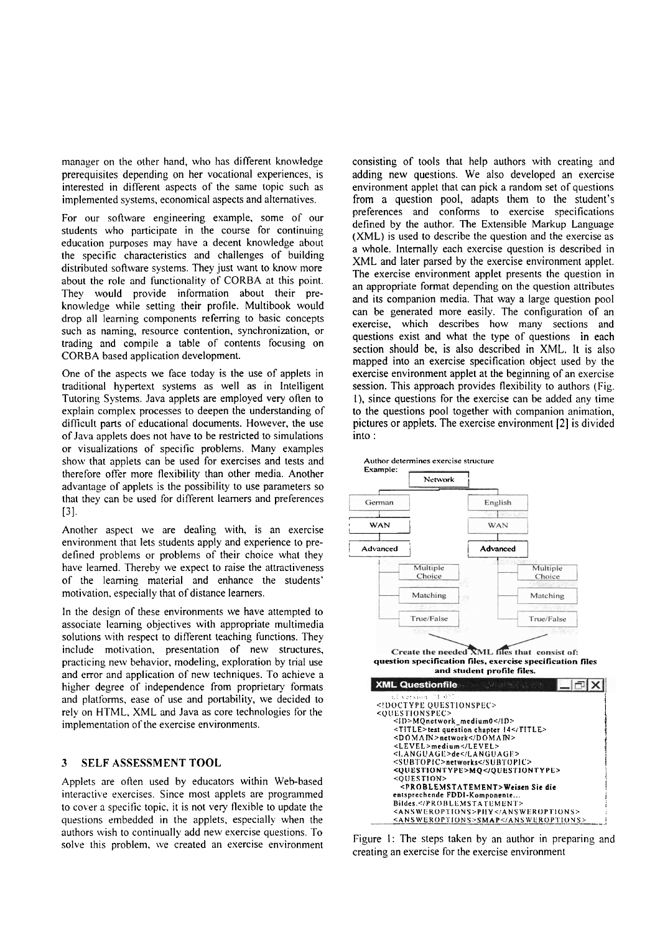manager on the other hand, who has different knowledge prerequisites depending on her vocational experiences, is interested in different aspects of the Same topic such as implemented systems, economical aspects and alternatives.

For our software engineering example, some of our students who participate in the Course for continuing education purposes may have a decent knowledge about the specific characteristics and challenges of building distributed software systems. They just Want to know more about the role and functionality of CORBA at this point. They would provide information about their preknowledge while setting their profile. Multibook would drop all leaming components referring to basic concepts such as narning, resource contention, synchronization, or trading and compile a table of contents focusing on CORBA based application development.

One of the aspects we face today is the use of applets in traditional hypertext systems as well as in Intelligent Tutoring Systems. Java applets are employed very often to explain complex processes to deepen the understanding of difficult parts of educational documents. However. the use of Java applets does not have to be restricted to simulations or visualizations of specific problems. Many examples show that applets can be used for exercises and tests and therefore offer more flexibility than other media. Another advantage of applets is the possibility to use parameters so that they can be used for different leamers and preferences  $[3]$ .

Another aspect we are dealing with, is an exercise environment that lets students apply and experience to predefined problems or problems of their choice what they have learned. Thereby we expect to raise the attractiveness of the learning material and enhance the students' motivation, especially that of distance leamers.

In the design of hese environments we have attempted to associate leaming objectives with appropriate multimedia solutions with respect to different teaching functions. They include motivation, presentation of new structures, practicing new behavior, modeling, exploration by trial use and error and application of new techniques. To achieve a higher degree of independence from proprietary formats and platforms, ease of use and portability, we decided to rely on HTML, XML and Java as core technologies for the implementation of the exercise environments.

## **3 SELF ASSESSMENT TOOL**

Applets are often used by educators within Web-based interactive exercises. Since most applets are programmed to Cover a specilic topic, it is not very flexible to update the questions embedded in the applets, especially when the authors wish to continually add new exercise questions. To solve this problem, we created an exercise environment consisting of tools that help authors with creating and adding new questions. We also developed an exercise environment applet that can pick a random set of questions from a question pool, adapts them to the student's preferences and conforms to exercise specifications defined by the author. The Extensible Markup Language (XML) is used to describe the question and the exercise as a whole. lntemally each exercise question is described in XML and later parsed by the exercise environment applet. The exercise environment applet presents the question in an appropriate format depending on the question attributes and its companion media. That way a large question pool can be generated more easily. The configuration of an exercise, which describes how many sections and questions exist and what the type of questions in each section should be, is also described in XML. It is also mapped into an exercise specification object used by the exercise environment applet at the beginning of an exercise session. This approach provides flexibility to authors (Fig. I), since questions for the exercise can be added any time to the questions pool together with companion animation, pictures or applets. The exercise environment [2] is divided into :





| <b>XML Questionfile All Strategies</b>              |
|-----------------------------------------------------|
| ui version − 1 0°C                                  |
| QUESTIONSPEC                                        |
| <questionspec></questionspec>                       |
| <id>MQnetwork medium0</id>                          |
| <title>test question chapter 14</title>             |
| <domain>network</domain>                            |
| <level>medium</level>                               |
| <language>de</language>                             |
| <subtopic>networks</subtopic>                       |
| <questiontype>MO</questiontype>                     |
| <question></question>                               |
| <problemstatement>Weisen Sie die</problemstatement> |
| entsprechende FDDI-Komponente                       |
| Bildes.                                             |
| <answeroptions>PHY</answeroptions>                  |
| <answeroptions>SMAP</answeroptions>                 |

Figure I: The steps taken by an author in preparing and creating an exercise for the exercise environment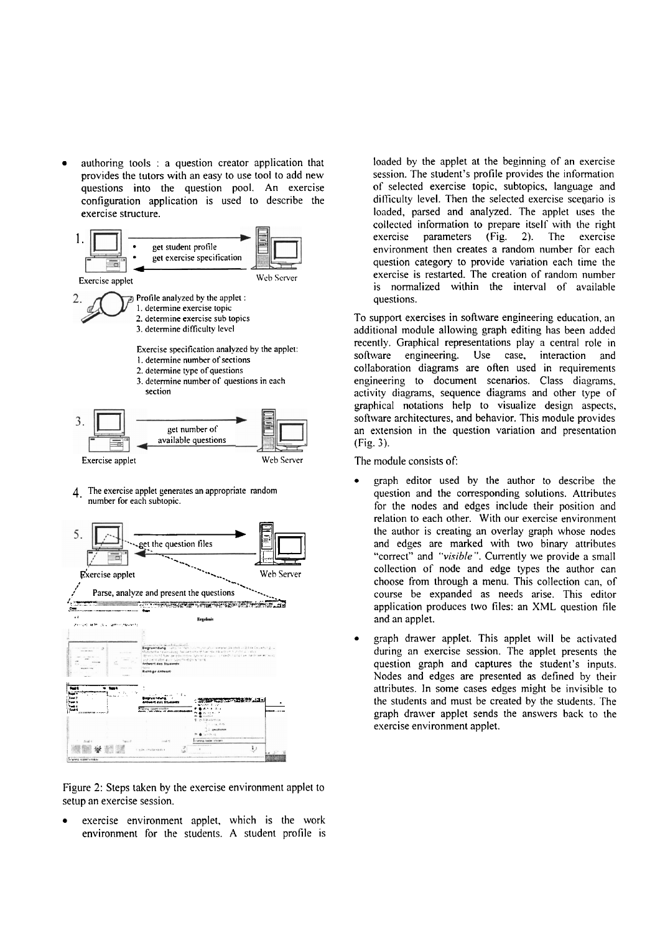authoring tools : a question creator application that provides the tutors with an easy to use tool to add new questions into the question pool. An exercise configuration application is used to describe the exercise structure.





The exercise applet generates an appropriate random  $\overline{4}$ number for each subtopic.



Figure 2: Steps taken by the exercise environment applet to setup an exercise session.

exercise environment applet, which is the work environment for the students. A student profile is loaded by the applet at the beginning of an exercise session. The student's profile provides the information of selected exercise topic, subtopics, language and difficulty level. Then the selected exercise scenario is loaded, parsed and analyzed. The applet uses the collected information to prepare itself with the right exercise parameters (Fig.  $(2)$ . The exercise environment then creates a random number for each question category to provide variation each time the exercise is restarted. The creation of random number is normalized within the interval of available questions.

To support exercises in software engineering education, an additional module allowing graph editing has been added recently. Graphical representations play a central role in software engineering. Use case, interaction and collaboration diagrams are often used in requirements engineering to document scenarios. Class diagrams, activity diagrams, sequence diagrams and other type of graphical notations help to visualize design aspects, software architectures, and behavior. This module provides an extension in the question variation and presentation  $(Fig. 3)$ .

The module consists of:

- graph editor used by the author to describe the question and the corresponding solutions. Attributes for the nodes and edges include their position and relation to each other. With our exercise environment the author is creating an overlay graph whose nodes and edges are marked with two binary attributes "correct" and "visible". Currently we provide a small collection of node and edge types the author can choose from through a menu. This collection can, of course be expanded as needs arise. This editor application produces two files: an XML question file and an applet.
- graph drawer applet. This applet will be activated during an exercise session. The applet presents the question graph and captures the student's inputs. Nodes and edges are presented as defined by their attributes. In some cases edges might be invisible to the students and must be created by the students. The graph drawer applet sends the answers back to the exercise environment applet.